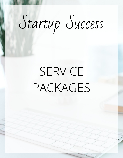# Startup Success

# SERVICE PACKAGES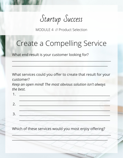Startup Success

MODULE 4 // Product Selection

## Create a Compelling Service

 $\sim$  , and a set of the set of the set of the set of the set of the set of the set of the set of the set of the set of the set of the set of the set of the set of the set of the set of the set of the set of the set of the

 $\mathcal{L} \to \mathcal{L}$  , where  $\mathcal{L} \to \mathcal{L}$  , we are assumed to the set of  $\mathcal{L}$  , we are assumed to the set of  $\mathcal{L}$ 

What end result is your customer looking for?

What services could you offer to create that result for your customer?

*Keep an open mind! The most obvious solution isn't always the best.*

Which of these services would you most enjoy offering?

\_\_\_\_\_\_\_\_\_\_\_\_\_\_\_\_\_\_\_\_\_\_\_\_\_\_\_\_\_\_\_\_\_\_\_\_\_\_\_\_\_\_\_\_\_\_\_\_\_\_\_\_\_\_\_\_\_\_\_\_\_

\_\_\_\_\_\_\_\_\_\_\_\_\_\_\_\_\_\_\_\_\_\_\_\_\_\_\_\_\_\_\_\_\_\_\_\_\_\_\_\_\_\_\_\_\_\_\_\_\_\_\_\_\_\_\_\_\_\_\_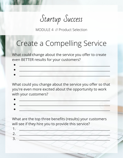Startup Success

MODULE 4 // Product Selection

## Create a Compelling Service

What could change about the service you offer to create even BETTER results for your customers?

 $\bullet$  , and the state of the state of the state of the state of the state of the state of the state of the state of

What could you change about the service you offer so that you're even more excited about the opportunity to work with your customers?

What are the top three benefits (results) your customers will see if they hire you to provide this service?

1. \_\_\_\_\_\_\_\_\_\_\_\_\_\_\_\_\_\_\_\_\_\_\_\_\_\_\_\_\_\_\_\_\_\_\_\_\_\_\_\_\_\_\_\_\_\_\_\_\_\_\_\_\_\_\_\_  $2.$   $\qquad \qquad \qquad \qquad \qquad \qquad \qquad \qquad \qquad \qquad \qquad \qquad \qquad \qquad \qquad \qquad -$ 3. \_\_\_\_\_\_\_\_\_\_\_\_\_\_\_\_\_\_\_\_\_\_\_\_\_\_\_\_\_\_\_\_\_\_\_\_\_\_\_\_\_\_\_\_\_\_\_\_\_\_\_\_\_\_\_\_